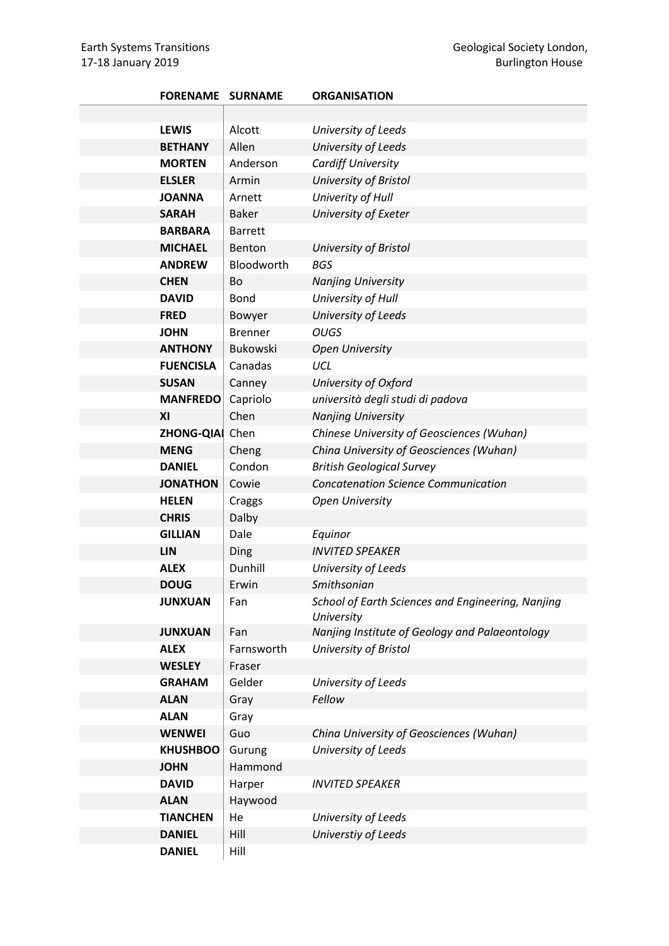| <b>FORENAME SURNAME</b> |                 | <b>ORGANISATION</b>                                             |
|-------------------------|-----------------|-----------------------------------------------------------------|
|                         |                 |                                                                 |
| <b>LEWIS</b>            | Alcott          | University of Leeds                                             |
| <b>BETHANY</b>          | Allen           | University of Leeds                                             |
| <b>MORTEN</b>           | Anderson        | Cardiff University                                              |
| <b>ELSLER</b>           | Armin           | University of Bristol                                           |
| <b>JOANNA</b>           | Arnett          | Univerity of Hull                                               |
| <b>SARAH</b>            | <b>Baker</b>    | University of Exeter                                            |
| <b>BARBARA</b>          | <b>Barrett</b>  |                                                                 |
| <b>MICHAEL</b>          | Benton          | University of Bristol                                           |
| <b>ANDREW</b>           | Bloodworth      | <b>BGS</b>                                                      |
| <b>CHEN</b>             | Bo              | <b>Nanjing University</b>                                       |
| <b>DAVID</b>            | <b>Bond</b>     | University of Hull                                              |
| <b>FRED</b>             | Bowyer          | University of Leeds                                             |
| <b>JOHN</b>             | <b>Brenner</b>  | <b>OUGS</b>                                                     |
| <b>ANTHONY</b>          | <b>Bukowski</b> | <b>Open University</b>                                          |
| <b>FUENCISLA</b>        | Canadas         | UCL                                                             |
| <b>SUSAN</b>            | Canney          | University of Oxford                                            |
| <b>MANFREDO</b>         | Capriolo        | università degli studi di padova                                |
| XI                      | Chen            | <b>Nanjing University</b>                                       |
| <b>ZHONG-QIAI</b>       | Chen            | Chinese University of Geosciences (Wuhan)                       |
| <b>MENG</b>             | Cheng           | China University of Geosciences (Wuhan)                         |
| <b>DANIEL</b>           | Condon          | <b>British Geological Survey</b>                                |
| <b>JONATHON</b>         | Cowie           | <b>Concatenation Science Communication</b>                      |
| <b>HELEN</b>            | Craggs          | <b>Open University</b>                                          |
| <b>CHRIS</b>            | Dalby           |                                                                 |
| <b>GILLIAN</b>          | Dale            | Equinor                                                         |
| <b>LIN</b>              | Ding            | <b>INVITED SPEAKER</b>                                          |
| <b>ALEX</b>             | Dunhill         | University of Leeds                                             |
| <b>DOUG</b>             | Erwin           | Smithsonian                                                     |
| <b>JUNXUAN</b>          | Fan             | School of Earth Sciences and Engineering, Nanjing<br>University |
| <b>JUNXUAN</b>          | Fan             | Nanjing Institute of Geology and Palaeontology                  |
| <b>ALEX</b>             | Farnsworth      | University of Bristol                                           |
| <b>WESLEY</b>           | Fraser          |                                                                 |
| <b>GRAHAM</b>           | Gelder          | University of Leeds                                             |
| <b>ALAN</b>             | Gray            | Fellow                                                          |
| <b>ALAN</b>             | Gray            |                                                                 |
| <b>WENWEI</b>           | Guo             | China University of Geosciences (Wuhan)                         |
| <b>KHUSHBOO</b>         | Gurung          | University of Leeds                                             |
| <b>JOHN</b>             | Hammond         |                                                                 |
| <b>DAVID</b>            | Harper          | <b>INVITED SPEAKER</b>                                          |
| <b>ALAN</b>             | Haywood         |                                                                 |
| <b>TIANCHEN</b>         | He              | University of Leeds                                             |
| <b>DANIEL</b>           | Hill            | Universtiy of Leeds                                             |
| <b>DANIEL</b>           | Hill            |                                                                 |
|                         |                 |                                                                 |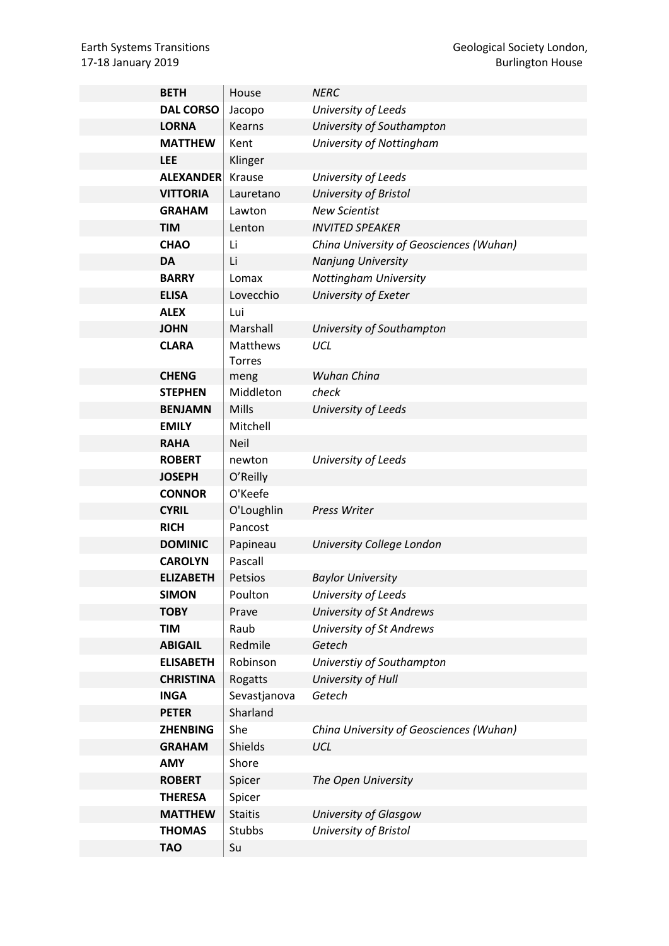| <b>BETH</b>      | House           | <b>NERC</b>                             |
|------------------|-----------------|-----------------------------------------|
| <b>DAL CORSO</b> | Jacopo          | University of Leeds                     |
| <b>LORNA</b>     | Kearns          | University of Southampton               |
| <b>MATTHEW</b>   | Kent            | University of Nottingham                |
| <b>LEE</b>       | Klinger         |                                         |
| <b>ALEXANDER</b> | Krause          | University of Leeds                     |
| <b>VITTORIA</b>  | Lauretano       | University of Bristol                   |
| <b>GRAHAM</b>    | Lawton          | <b>New Scientist</b>                    |
| <b>TIM</b>       | Lenton          | <b>INVITED SPEAKER</b>                  |
| <b>CHAO</b>      | Li              | China University of Geosciences (Wuhan) |
| <b>DA</b>        | Li              | <b>Nanjung University</b>               |
| <b>BARRY</b>     | Lomax           | Nottingham University                   |
| <b>ELISA</b>     | Lovecchio       | University of Exeter                    |
| <b>ALEX</b>      | Lui             |                                         |
| <b>JOHN</b>      | Marshall        | University of Southampton               |
| <b>CLARA</b>     | <b>Matthews</b> | UCL                                     |
|                  | <b>Torres</b>   |                                         |
| <b>CHENG</b>     | meng            | Wuhan China                             |
| <b>STEPHEN</b>   | Middleton       | check                                   |
| <b>BENJAMN</b>   | <b>Mills</b>    | University of Leeds                     |
| <b>EMILY</b>     | Mitchell        |                                         |
| <b>RAHA</b>      | <b>Neil</b>     |                                         |
| <b>ROBERT</b>    | newton          | University of Leeds                     |
| <b>JOSEPH</b>    | O'Reilly        |                                         |
| <b>CONNOR</b>    | O'Keefe         |                                         |
| <b>CYRIL</b>     | O'Loughlin      | Press Writer                            |
| <b>RICH</b>      | Pancost         |                                         |
| <b>DOMINIC</b>   | Papineau        | University College London               |
| <b>CAROLYN</b>   | Pascall         |                                         |
| <b>ELIZABETH</b> | Petsios         | <b>Baylor University</b>                |
| <b>SIMON</b>     | Poulton         | University of Leeds                     |
| <b>TOBY</b>      | Prave           | <b>University of St Andrews</b>         |
| <b>TIM</b>       | Raub            | <b>University of St Andrews</b>         |
| <b>ABIGAIL</b>   | Redmile         | Getech                                  |
| <b>ELISABETH</b> | Robinson        | Universtiy of Southampton               |
| <b>CHRISTINA</b> | Rogatts         | University of Hull                      |
| <b>INGA</b>      | Sevastjanova    | Getech                                  |
| <b>PETER</b>     | Sharland        |                                         |
| <b>ZHENBING</b>  | She             | China University of Geosciences (Wuhan) |
| <b>GRAHAM</b>    | <b>Shields</b>  | <b>UCL</b>                              |
| <b>AMY</b>       | Shore           |                                         |
| <b>ROBERT</b>    | Spicer          | The Open University                     |
| <b>THERESA</b>   | Spicer          |                                         |
| <b>MATTHEW</b>   | <b>Staitis</b>  | University of Glasgow                   |
| <b>THOMAS</b>    | Stubbs          | University of Bristol                   |
| <b>TAO</b>       | Su              |                                         |